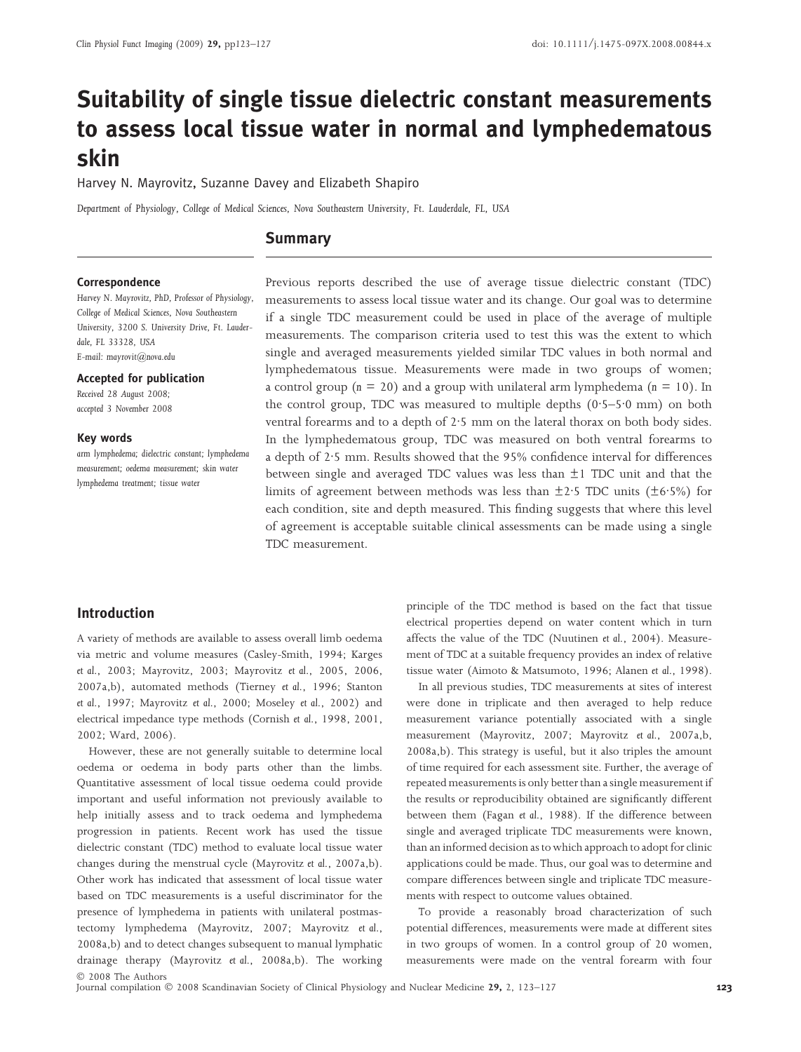# Suitability of single tissue dielectric constant measurements to assess local tissue water in normal and lymphedematous skin

Harvey N. Mayrovitz, Suzanne Davey and Elizabeth Shapiro

Department of Physiology, College of Medical Sciences, Nova Southeastern University, Ft. Lauderdale, FL, USA

## **Summary**

#### Correspondence

Harvey N. Mayrovitz, PhD, Professor of Physiology, College of Medical Sciences, Nova Southeastern University, 3200 S. University Drive, Ft. Lauderdale, FL 33328, USA E-mail: mayrovit@nova.edu

Accepted for publication

Received 28 August 2008; accepted 3 November 2008

Key words

arm lymphedema; dielectric constant; lymphedema measurement; oedema measurement; skin water lymphedema treatment; tissue water

Previous reports described the use of average tissue dielectric constant (TDC) measurements to assess local tissue water and its change. Our goal was to determine if a single TDC measurement could be used in place of the average of multiple measurements. The comparison criteria used to test this was the extent to which single and averaged measurements yielded similar TDC values in both normal and lymphedematous tissue. Measurements were made in two groups of women; a control group ( $n = 20$ ) and a group with unilateral arm lymphedema ( $n = 10$ ). In the control group, TDC was measured to multiple depths  $(0.5-5.0 \text{ mm})$  on both ventral forearms and to a depth of 2.5 mm on the lateral thorax on both body sides. In the lymphedematous group, TDC was measured on both ventral forearms to a depth of 2.5 mm. Results showed that the 95% confidence interval for differences between single and averaged TDC values was less than  $\pm 1$  TDC unit and that the limits of agreement between methods was less than  $\pm$ 2.5 TDC units ( $\pm$ 6.5%) for each condition, site and depth measured. This finding suggests that where this level of agreement is acceptable suitable clinical assessments can be made using a single TDC measurement.

## Introduction

A variety of methods are available to assess overall limb oedema via metric and volume measures (Casley-Smith, 1994; Karges et al., 2003; Mayrovitz, 2003; Mayrovitz et al., 2005, 2006, 2007a,b), automated methods (Tierney et al., 1996; Stanton et al., 1997; Mayrovitz et al., 2000; Moseley et al., 2002) and electrical impedance type methods (Cornish et al., 1998, 2001, 2002; Ward, 2006).

However, these are not generally suitable to determine local oedema or oedema in body parts other than the limbs. Quantitative assessment of local tissue oedema could provide important and useful information not previously available to help initially assess and to track oedema and lymphedema progression in patients. Recent work has used the tissue dielectric constant (TDC) method to evaluate local tissue water changes during the menstrual cycle (Mayrovitz et al., 2007a,b). Other work has indicated that assessment of local tissue water based on TDC measurements is a useful discriminator for the presence of lymphedema in patients with unilateral postmastectomy lymphedema (Mayrovitz, 2007; Mayrovitz et al., 2008a,b) and to detect changes subsequent to manual lymphatic drainage therapy (Mayrovitz et al., 2008a,b). The working - 2008 The Authors

principle of the TDC method is based on the fact that tissue electrical properties depend on water content which in turn affects the value of the TDC (Nuutinen et al., 2004). Measurement of TDC at a suitable frequency provides an index of relative tissue water (Aimoto & Matsumoto, 1996; Alanen et al., 1998).

In all previous studies, TDC measurements at sites of interest were done in triplicate and then averaged to help reduce measurement variance potentially associated with a single measurement (Mayrovitz, 2007; Mayrovitz et al., 2007a,b, 2008a,b). This strategy is useful, but it also triples the amount of time required for each assessment site. Further, the average of repeated measurements is only better than a single measurement if the results or reproducibility obtained are significantly different between them (Fagan et al., 1988). If the difference between single and averaged triplicate TDC measurements were known, than an informed decision as to which approach to adopt for clinic applications could be made. Thus, our goal was to determine and compare differences between single and triplicate TDC measurements with respect to outcome values obtained.

To provide a reasonably broad characterization of such potential differences, measurements were made at different sites in two groups of women. In a control group of 20 women, measurements were made on the ventral forearm with four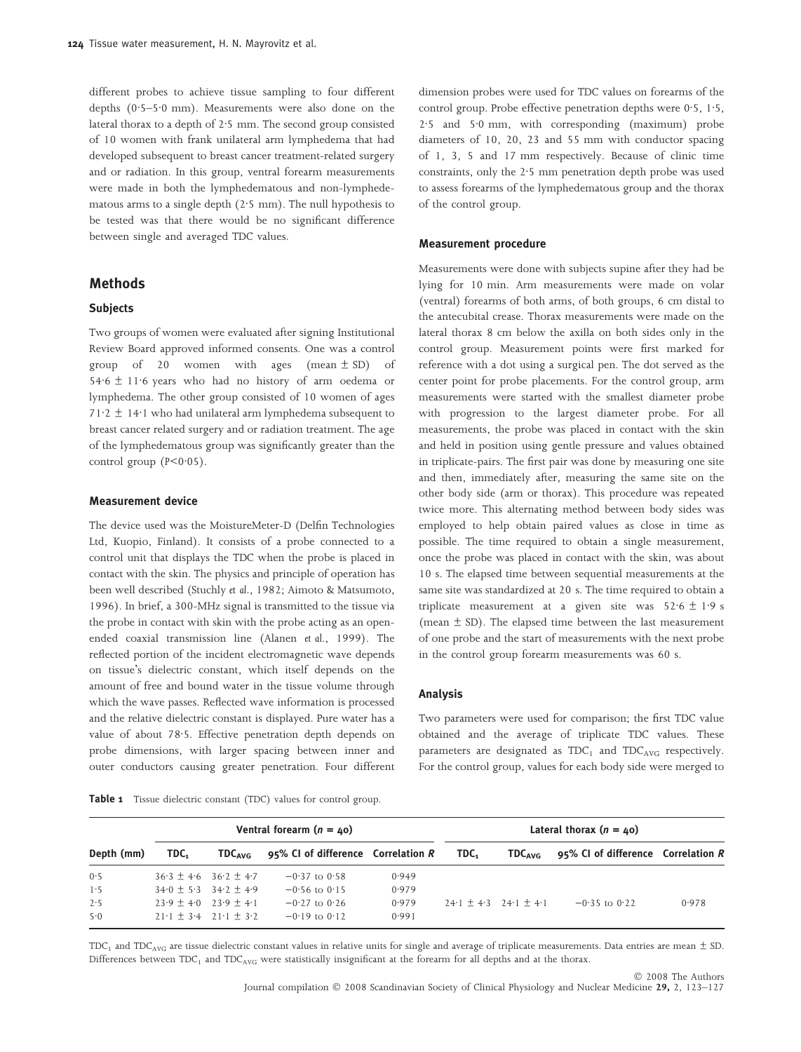different probes to achieve tissue sampling to four different depths  $(0.5-5.0 \text{ mm})$ . Measurements were also done on the lateral thorax to a depth of  $2.5$  mm. The second group consisted of 10 women with frank unilateral arm lymphedema that had developed subsequent to breast cancer treatment-related surgery and or radiation. In this group, ventral forearm measurements were made in both the lymphedematous and non-lymphedematous arms to a single depth  $(2.5 \text{ mm})$ . The null hypothesis to be tested was that there would be no significant difference between single and averaged TDC values.

## Methods

#### **Subjects**

Two groups of women were evaluated after signing Institutional Review Board approved informed consents. One was a control group of 20 women with ages (mean  $\pm$  SD) of 54.6  $\pm$  11.6 years who had no history of arm oedema or lymphedema. The other group consisted of 10 women of ages  $71.2 \pm 14.1$  who had unilateral arm lymphedema subsequent to breast cancer related surgery and or radiation treatment. The age of the lymphedematous group was significantly greater than the control group  $(P < 0.05)$ .

#### Measurement device

The device used was the MoistureMeter-D (Delfin Technologies Ltd, Kuopio, Finland). It consists of a probe connected to a control unit that displays the TDC when the probe is placed in contact with the skin. The physics and principle of operation has been well described (Stuchly et al., 1982; Aimoto & Matsumoto, 1996). In brief, a 300-MHz signal is transmitted to the tissue via the probe in contact with skin with the probe acting as an openended coaxial transmission line (Alanen et al., 1999). The reflected portion of the incident electromagnetic wave depends on tissue's dielectric constant, which itself depends on the amount of free and bound water in the tissue volume through which the wave passes. Reflected wave information is processed and the relative dielectric constant is displayed. Pure water has a value of about 78.5. Effective penetration depth depends on probe dimensions, with larger spacing between inner and outer conductors causing greater penetration. Four different

Table 1 Tissue dielectric constant (TDC) values for control group.

dimension probes were used for TDC values on forearms of the control group. Probe effective penetration depths were 0.5, 1.5, 2.5 and 5.0 mm, with corresponding (maximum) probe diameters of 10, 20, 23 and 55 mm with conductor spacing of 1, 3, 5 and 17 mm respectively. Because of clinic time constraints, only the  $2.5$  mm penetration depth probe was used to assess forearms of the lymphedematous group and the thorax of the control group.

#### Measurement procedure

Measurements were done with subjects supine after they had be lying for 10 min. Arm measurements were made on volar (ventral) forearms of both arms, of both groups, 6 cm distal to the antecubital crease. Thorax measurements were made on the lateral thorax 8 cm below the axilla on both sides only in the control group. Measurement points were first marked for reference with a dot using a surgical pen. The dot served as the center point for probe placements. For the control group, arm measurements were started with the smallest diameter probe with progression to the largest diameter probe. For all measurements, the probe was placed in contact with the skin and held in position using gentle pressure and values obtained in triplicate-pairs. The first pair was done by measuring one site and then, immediately after, measuring the same site on the other body side (arm or thorax). This procedure was repeated twice more. This alternating method between body sides was employed to help obtain paired values as close in time as possible. The time required to obtain a single measurement, once the probe was placed in contact with the skin, was about 10 s. The elapsed time between sequential measurements at the same site was standardized at 20 s. The time required to obtain a triplicate measurement at a given site was  $52.6 \pm 1.9$  s (mean  $\pm$  SD). The elapsed time between the last measurement of one probe and the start of measurements with the next probe in the control group forearm measurements was 60 s.

## Analysis

Two parameters were used for comparison; the first TDC value obtained and the average of triplicate TDC values. These parameters are designated as  $TDC_1$  and  $TDC_{AVG}$  respectively. For the control group, values for each body side were merged to

|            | Ventral forearm $(n = 40)$ |                                                   |                                                |       | Lateral thorax $(n = 40)$ |                                                   |                                    |       |
|------------|----------------------------|---------------------------------------------------|------------------------------------------------|-------|---------------------------|---------------------------------------------------|------------------------------------|-------|
| Depth (mm) | TDC.                       |                                                   | $TDC_{AVG}$ 95% CI of difference Correlation R |       | TDC.                      | $\mathsf{TDC}_{\mathsf{AVG}}$                     | 95% CI of difference Correlation R |       |
| 0.5        |                            | $36.3 + 4.6$ $36.2 + 4.7$                         | $-0.37$ to $0.58$                              | 0.949 |                           |                                                   |                                    |       |
| 1.5        |                            | $34.0 + 5.3$ $34.2 + 4.9$                         | $-0.56$ to $0.15$                              | 0.979 |                           |                                                   |                                    |       |
| 2.5        | $23.9 + 4.0$ $23.9 + 4.1$  |                                                   | $-0.27$ to 0.26                                | 0.979 |                           | $24 \cdot 1 + 4 \cdot 3$ $24 \cdot 1 + 4 \cdot 1$ | $-0.35$ to $0.22$                  | 0.978 |
| 5.0        |                            | $21 \cdot 1 + 3 \cdot 4$ $21 \cdot 1 + 3 \cdot 2$ | $-0.19$ to $0.12$                              | 0.991 |                           |                                                   |                                    |       |

 $TDC_1$  and  $TDC_{AVG}$  are tissue dielectric constant values in relative units for single and average of triplicate measurements. Data entries are mean  $\pm$  SD. Differences between TDC<sub>1</sub> and TDC<sub>AVG</sub> were statistically insignificant at the forearm for all depths and at the thorax.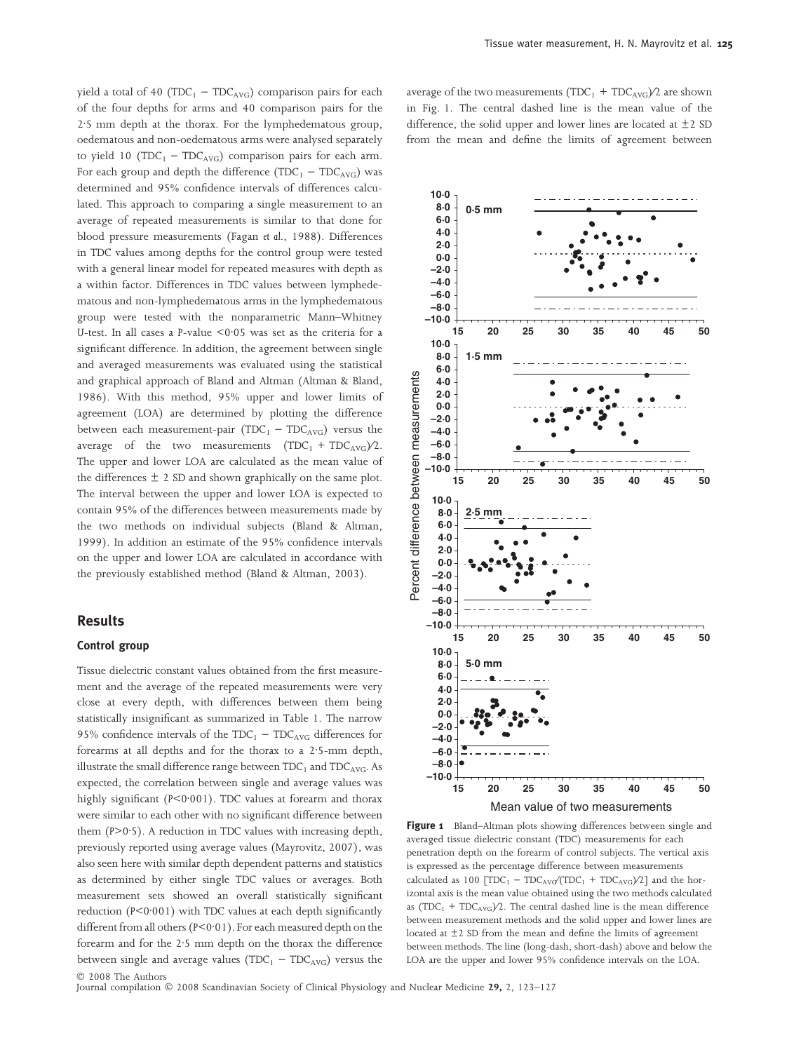yield a total of 40 (TDC<sub>1</sub> – TDC<sub>AVG</sub>) comparison pairs for each of the four depths for arms and 40 comparison pairs for the 2.5 mm depth at the thorax. For the lymphedematous group, oedematous and non-oedematous arms were analysed separately to yield 10 (TDC<sub>1</sub> – TDC<sub>AVG</sub>) comparison pairs for each arm. For each group and depth the difference ( $TDC_1 - TDC_{AVG}$ ) was determined and 95% confidence intervals of differences calculated. This approach to comparing a single measurement to an average of repeated measurements is similar to that done for blood pressure measurements (Fagan et al., 1988). Differences in TDC values among depths for the control group were tested with a general linear model for repeated measures with depth as a within factor. Differences in TDC values between lymphedematous and non-lymphedematous arms in the lymphedematous group were tested with the nonparametric Mann–Whitney U-test. In all cases a P-value  $\leq 0.05$  was set as the criteria for a significant difference. In addition, the agreement between single and averaged measurements was evaluated using the statistical and graphical approach of Bland and Altman (Altman & Bland, 1986). With this method, 95% upper and lower limits of agreement (LOA) are determined by plotting the difference between each measurement-pair (TDC<sub>1</sub> – TDC<sub>AVG</sub>) versus the average of the two measurements  $(TDC_1 + TDC_{AVG})/2$ . The upper and lower LOA are calculated as the mean value of the differences  $\pm$  2 SD and shown graphically on the same plot. The interval between the upper and lower LOA is expected to contain 95% of the differences between measurements made by the two methods on individual subjects (Bland & Altman, 1999). In addition an estimate of the 95% confidence intervals on the upper and lower LOA are calculated in accordance with the previously established method (Bland & Altman, 2003).

## Results

### Control group

Tissue dielectric constant values obtained from the first measurement and the average of the repeated measurements were very close at every depth, with differences between them being statistically insignificant as summarized in Table 1. The narrow 95% confidence intervals of the  $TDC_1 - TDC_{AVG}$  differences for forearms at all depths and for the thorax to a  $2.5$ -mm depth, illustrate the small difference range between  $TDC_1$  and  $TDC_{AVG}$ . As expected, the correlation between single and average values was highly significant ( $P < 0.001$ ). TDC values at forearm and thorax were similar to each other with no significant difference between them  $(P>0.5)$ . A reduction in TDC values with increasing depth, previously reported using average values (Mayrovitz, 2007), was also seen here with similar depth dependent patterns and statistics as determined by either single TDC values or averages. Both measurement sets showed an overall statistically significant reduction ( $P < 0.001$ ) with TDC values at each depth significantly different from all others ( $P < 0.01$ ). For each measured depth on the forearm and for the 2.5 mm depth on the thorax the difference between single and average values ( $TDC_1 - TDC_{AVG}$ ) versus the - 2008 The Authors

average of the two measurements ( $TDC_1$  +  $TDC_{AVG}/2$  are shown in Fig. 1. The central dashed line is the mean value of the difference, the solid upper and lower lines are located at  $\pm 2$  SD from the mean and define the limits of agreement between



Figure 1 Bland–Altman plots showing differences between single and averaged tissue dielectric constant (TDC) measurements for each penetration depth on the forearm of control subjects. The vertical axis is expressed as the percentage difference between measurements calculated as 100  $[TDC_1 - TDC_{AVG}/TDC_1 + TDC_{AVG}/2]$  and the horizontal axis is the mean value obtained using the two methods calculated as  $(TDC_1 + TDC_{AVG})/2$ . The central dashed line is the mean difference between measurement methods and the solid upper and lower lines are located at  $\pm$ 2 SD from the mean and define the limits of agreement between methods. The line (long-dash, short-dash) above and below the LOA are the upper and lower 95% confidence intervals on the LOA.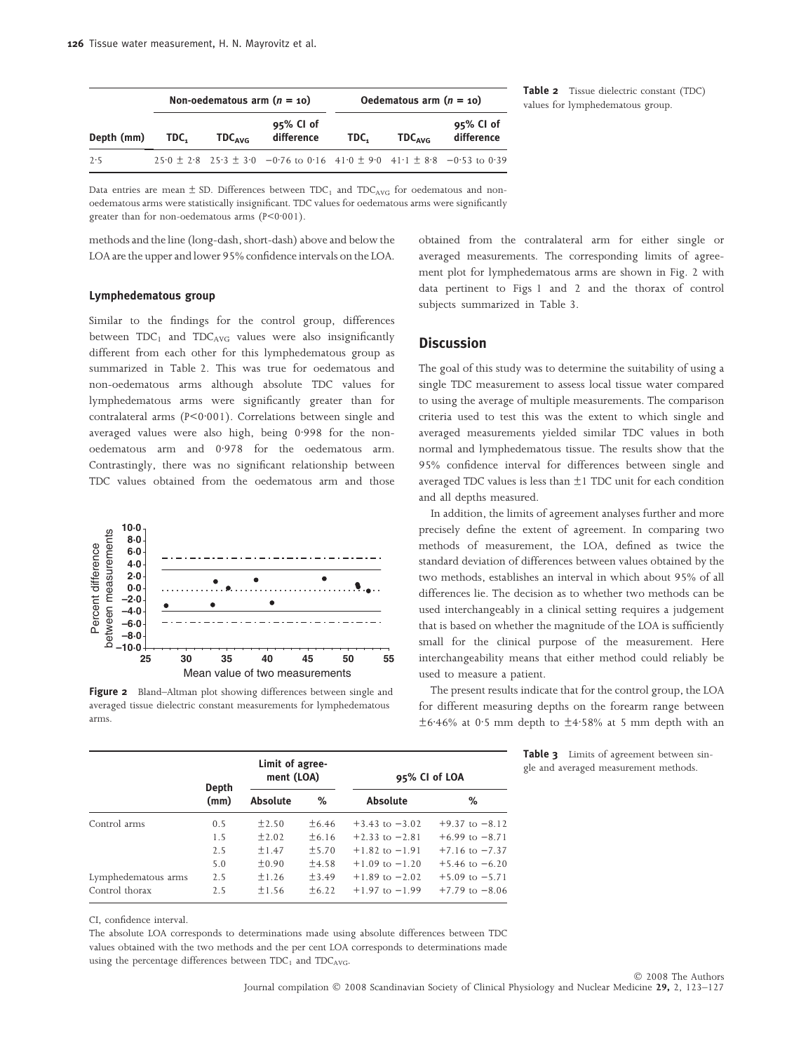|            |      | Non-oedematous arm $(n = 10)$ |                                                                                             | Oedematous arm $(n = 10)$ |                           |                         |  |
|------------|------|-------------------------------|---------------------------------------------------------------------------------------------|---------------------------|---------------------------|-------------------------|--|
| Depth (mm) | TDC. | $TDC_{AVG}$                   | $95\%$ CI of<br>difference                                                                  | TDC.                      | <b>TDC</b> <sub>AVG</sub> | 95% CI of<br>difference |  |
| 2.5        |      |                               | $25.0 \pm 2.8$ $25.3 \pm 3.0$ $-0.76$ to 0.16 $41.0 \pm 9.0$ $41.1 \pm 8.8$ $-0.53$ to 0.39 |                           |                           |                         |  |

Table 2 Tissue dielectric constant (TDC) values for lymphedematous group.

Data entries are mean  $\pm$  SD. Differences between TDC<sub>1</sub> and TDC<sub>AVG</sub> for oedematous and nonoedematous arms were statistically insignificant. TDC values for oedematous arms were significantly greater than for non-oedematous arms  $(P < 0.001)$ .

methods and the line (long-dash, short-dash) above and below the LOA are the upper and lower 95% confidence intervals on the LOA.

#### Lymphedematous group

Similar to the findings for the control group, differences between  $TDC_1$  and  $TDC_{AVG}$  values were also insignificantly different from each other for this lymphedematous group as summarized in Table 2. This was true for oedematous and non-oedematous arms although absolute TDC values for lymphedematous arms were significantly greater than for contralateral arms  $(P < 0.001)$ . Correlations between single and averaged values were also high, being 0.998 for the nonoedematous arm and 0.978 for the oedematous arm. Contrastingly, there was no significant relationship between TDC values obtained from the oedematous arm and those



Figure 2 Bland–Altman plot showing differences between single and averaged tissue dielectric constant measurements for lymphedematous arms.

obtained from the contralateral arm for either single or averaged measurements. The corresponding limits of agreement plot for lymphedematous arms are shown in Fig. 2 with data pertinent to Figs 1 and 2 and the thorax of control subjects summarized in Table 3.

## **Discussion**

The goal of this study was to determine the suitability of using a single TDC measurement to assess local tissue water compared to using the average of multiple measurements. The comparison criteria used to test this was the extent to which single and averaged measurements yielded similar TDC values in both normal and lymphedematous tissue. The results show that the 95% confidence interval for differences between single and averaged TDC values is less than  $\pm$ 1 TDC unit for each condition and all depths measured.

In addition, the limits of agreement analyses further and more precisely define the extent of agreement. In comparing two methods of measurement, the LOA, defined as twice the standard deviation of differences between values obtained by the two methods, establishes an interval in which about 95% of all differences lie. The decision as to whether two methods can be used interchangeably in a clinical setting requires a judgement that is based on whether the magnitude of the LOA is sufficiently small for the clinical purpose of the measurement. Here interchangeability means that either method could reliably be used to measure a patient.

The present results indicate that for the control group, the LOA for different measuring depths on the forearm range between  $\pm$ 6.46% at 0.5 mm depth to  $\pm$ 4.58% at 5 mm depth with an

Table 3 Limits of agreement between single and averaged measurement methods.

|                     | Depth<br>(mm) | Limit of agree-<br>ment (LOA) |            | 95% CI of LOA      |                    |  |
|---------------------|---------------|-------------------------------|------------|--------------------|--------------------|--|
|                     |               | <b>Absolute</b>               | ℅          | <b>Absolute</b>    | ℅                  |  |
| Control arms        | 0.5           | ±2.50                         | ±6.46      | $+3.43$ to $-3.02$ | $+9.37$ to $-8.12$ |  |
|                     | 1.5           | ±2.02                         | ±6.16      | $+2.33$ to $-2.81$ | $+6.99$ to $-8.71$ |  |
|                     | 2.5           | ±1.47                         | ±5.70      | $+1.82$ to $-1.91$ | $+7.16$ to $-7.37$ |  |
|                     | 5.0           | ±0.90                         | ±4.58      | $+1.09$ to $-1.20$ | $+5.46$ to $-6.20$ |  |
| Lymphedematous arms | 2.5           | ±1.26                         | ±3.49      | $+1.89$ to $-2.02$ | $+5.09$ to $-5.71$ |  |
| Control thorax      | 2.5           | ±1.56                         | $\pm 6.22$ | $+1.97$ to $-1.99$ | $+7.79$ to $-8.06$ |  |

CI, confidence interval.

The absolute LOA corresponds to determinations made using absolute differences between TDC values obtained with the two methods and the per cent LOA corresponds to determinations made using the percentage differences between  $TDC_1$  and  $TDC_{AVG}$ .